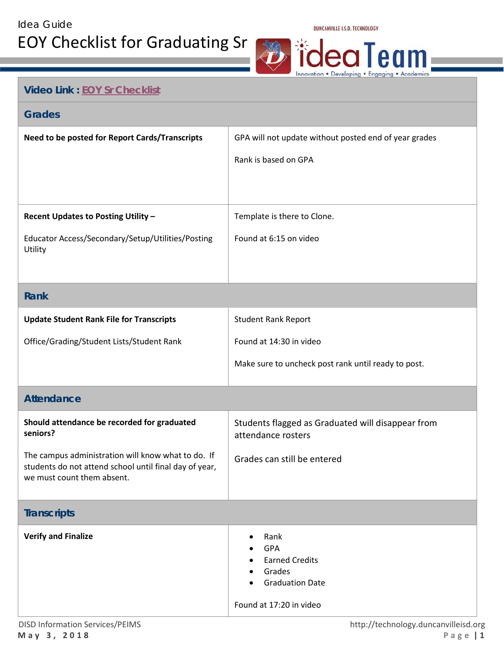

## **Video Link : [EOY Sr Checklist](https://support.skyward.com/DeptDocs/Corporate/Documentation/Public%20Website/HelpContent/SkywardAcademy/GraduatingSeniors_BestPractices_20170511_1802.mp4)**

## **Grades**

| Need to be posted for Report Cards/Transcripts                                                                                             | GPA will not update without posted end of year grades |
|--------------------------------------------------------------------------------------------------------------------------------------------|-------------------------------------------------------|
|                                                                                                                                            | Rank is based on GPA                                  |
|                                                                                                                                            |                                                       |
|                                                                                                                                            |                                                       |
| Recent Updates to Posting Utility -                                                                                                        | Template is there to Clone.                           |
| Educator Access/Secondary/Setup/Utilities/Posting                                                                                          | Found at 6:15 on video                                |
| Utility                                                                                                                                    |                                                       |
|                                                                                                                                            |                                                       |
| <b>Rank</b>                                                                                                                                |                                                       |
| <b>Update Student Rank File for Transcripts</b>                                                                                            | <b>Student Rank Report</b>                            |
| Office/Grading/Student Lists/Student Rank                                                                                                  | Found at 14:30 in video                               |
|                                                                                                                                            | Make sure to uncheck post rank until ready to post.   |
|                                                                                                                                            |                                                       |
| <b>Attendance</b>                                                                                                                          |                                                       |
| Should attendance be recorded for graduated                                                                                                | Students flagged as Graduated will disappear from     |
| seniors?                                                                                                                                   | attendance rosters                                    |
| The campus administration will know what to do. If<br>students do not attend school until final day of year,<br>we must count them absent. | Grades can still be entered                           |

## **Transcripts**

| <b>Verify and Finalize</b> | Rank<br>$\bullet$<br><b>GPA</b><br>$\bullet$<br><b>Earned Credits</b><br>$\bullet$<br>Grades<br>$\bullet$<br><b>Graduation Date</b><br>$\bullet$ |
|----------------------------|--------------------------------------------------------------------------------------------------------------------------------------------------|
|                            | Found at 17:20 in video                                                                                                                          |